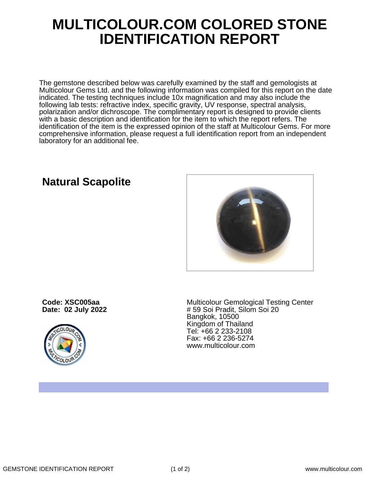## **MULTICOLOUR.COM COLORED STONE IDENTIFICATION REPORT**

The gemstone described below was carefully examined by the staff and gemologists at Multicolour Gems Ltd. and the following information was compiled for this report on the date indicated. The testing techniques include 10x magnification and may also include the following lab tests: refractive index, specific gravity, UV response, spectral analysis, polarization and/or dichroscope. The complimentary report is designed to provide clients with a basic description and identification for the item to which the report refers. The identification of the item is the expressed opinion of the staff at Multicolour Gems. For more comprehensive information, please request a full identification report from an independent laboratory for an additional fee.

**Code: XSC005aa**

**Date: 02 July 2022**



Multicolour Gemological Testing Center # 59 Soi Pradit, Silom Soi 20 Bangkok, 10500 Kingdom of Thailand Tel: +66 2 233-2108 Fax: +66 2 236-5274 www.multicolour.com

**Natural Scapolite**